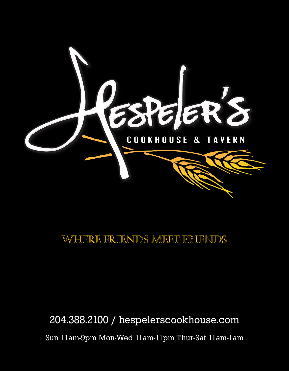

### Where Friends Meet Friends

204.388.2100 / hespelerscookhouse.com Sun 11am-9pm Mon-Wed 11am-11pm Thur-Sat 11am-1am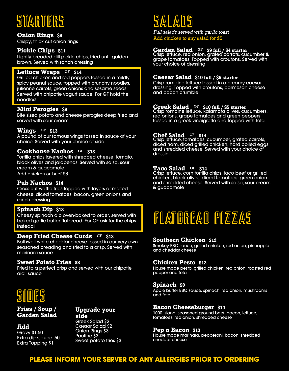### **STARTERS**

**Onion Rings \$9**

Crispy, thick cut onion rings

#### **Pickle Chips \$11**

Lightly breaded dill pickle chips, fried until golden brown. Served with ranch dressing

#### **Lettuce Wraps** GF \$14

Grilled chicken and red peppers tossed in a mildly spicy peanut sauce, topped with crunchy noodles, julienne carrots, green onions and sesame seeds. Served with chipotle yogurt sauce. For GF hold the noodles!

#### **Mini Perogies \$9**

Bite sized potato and cheese perogies deep fried and served with sour cream

#### $W$ ings <sup>GF</sup> \$13

A pound of our famous wings tossed in sauce of your choice. Served with your choice of side

#### **Cookhouse Nachos \$13**

Tortilla chips layered with shredded cheese, tomato, black olives and jalapenos. Served with salsa, sour cream & guacamole Add chicken or beef \$5

#### **Pub Nachos \$14**

Cross-cut waffle fries topped with layers of melted cheese, diced tomatoes, bacon, green onions and ranch dressing.

#### **Spinach Dip \$13**

Cheesy spinach dip oven-baked to order, served with baked garlic butter flatbread. For GF ask for the chips instead!

#### **Deep Fried Cheese Curds GF** \$13

Bothwell white cheddar cheese tossed in our very own seasoned breading and fried to a crisp. Served with marinara sauce

#### **Sweet Potato Fries \$8**

Fried to a perfect crisp and served with our chipotle aioli sauce

## SIDES

**Add** Gravy \$1.50

**Fries / Soup / Garden Salad**

#### **Upgrade your side**

Extra dip/sauce .50 Extra Topping \$1 Greek Salad \$2 Caesar Salad \$2 Onion Rings \$3 Poutine \$3 Sweet potato fries \$3

### **SALADS**

*Full salads served with garlic toast* Add chicken to any salad for \$5!

#### **Garden Salad \$9 full / \$4 starter**

Crisp lettuce, red onion, grated carrots, cucumber & grape tomatoes. Topped with croutons. Served with your choice of dressing

#### **Caesar Salad \$10 full / \$5 starter**

Crisp romaine lettuce tossed in a creamy caesar dressing. Topped with croutons, parmesan cheese and bacon crumble

**Greek Salad \$10 full / \$5 starter** Crisp romaine lettuce, kalamata olives, cucumbers, red onions, grape tomatoes and green peppers tossed in a greek vinaigrette and topped with feta

**Chef Salad \$14** Crisp lettuce, tomatoes, cucumber, grated carrots, diced ham, diced grilled chicken, hard boiled eggs and shredded cheese. Served with your choice of dressing

#### **Taco Salad \$14**

Crisp lettuce, corn tortilla chips, taco beef or grilled chicken, black olives, diced tomatoes, green onion and shredded cheese. Served with salsa, sour cream & guacamole



#### **Southern Chicken \$12**

Smokey BBQ sauce, grilled chicken, red onion, pineapple and cheddar cheese

#### **Chicken Pesto \$12**

House made pesto, grilled chicken, red onion, roasted red pepper and feta

#### **Spinach \$9**

Apple butter BBQ sauce, spinach, red onion, mushrooms and feta

#### **Bacon Cheeseburger \$14**

1000 Island, seasoned ground beef, bacon, lettuce, tomatoes, red onion, shredded cheese

#### **Pep n Bacon \$13**

House made marinara, pepperoni, bacon, shredded cheddar cheese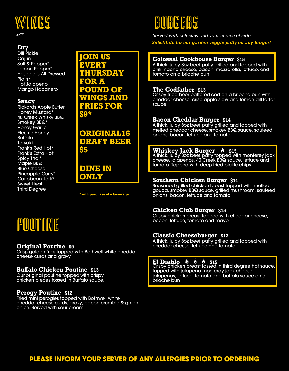## WINGS

#### **Dry**

\*GF

Dill Pickle **Cajun** Salt & Pepper\* Lemon Pepper\* Hespeler's All Dressed Plain\* Hot Jalapeno Mango Habanero

#### **Saucy**

Rickards Apple Butter Honey Mustard\* 40 Creek Whisky BBQ Smokey BBQ\* Honey Garlic Electric Honey Buffalo Teryaki Frank's Red Hot\* Frank's Extra Hot\* Spicy Thai\* Maple BBQ Blue Cheese Pineapple Curry\* Caribbean Jerk\* Sweet Heat Third Degree

**JOIN US EVERY THURSDAY FOR A POUND OF WINGS AND FRIES FOR \$9\***

**ORIGINAL16 DRAFT BEER \$5**

#### **DINE IN ONLY**

**\*with purchase of a beverage**

### POUTINE

#### **Original Poutine \$9**

Crisp golden fries topped with Bothwell white cheddar cheese curds and gravy

#### **Buffalo Chicken Poutine \$13**

Our original poutine topped with crispy chicken pieces tossed in Buffalo sauce.

#### **Perogy Poutine \$12**

Fried mini perogies topped with Bothwell white cheddar cheese curds, gravy, bacon crumble & green onion. Served with sour cream

### **BURGERS**

*Served with coleslaw and your choice of side Substitute for our garden veggie patty on any burger!*

#### **Colossal Cookhouse Burger \$15**

A thick, juicy 8oz beef patty grilled and topped with chili, nacho cheese, bacon, mozzarella, lettuce, and tomato on a brioche bun

#### **The Codfather \$13**

Crispy fried beer battered cod on a brioche bun with cheddar cheese, crisp apple slaw and lemon dill tartar sauce

#### **Bacon Cheddar Burger \$14**

A thick, juicy 8oz beef patty grilled and topped with melted cheddar cheese, smokey BBQ sauce, sauteed onions, bacon, lettuce and tomato

#### **Whiskey Jack Burger \$15**

A thick, juicy 8oz beef patty topped with monterey jack cheese, jalapenos, 40 Creek BBQ sauce, lettuce and tomato. Topped with deep fried pickle chips

#### **Southern Chicken Burger \$14**

Seasoned grilled chicken breast topped with melted gouda, smokey BBQ sauce, grilled mushroom, sauteed onions, bacon, lettuce and tomato

#### **Chicken Club Burger \$15**

Crispy chicken breast topped with cheddar cheese, bacon, lettuce, tomato and mayo

#### **Classic Cheeseburger \$12**

A thick, juicy 8oz beef patty grilled and topped with cheddar cheese, lettuce and tomato

**El Diablo \$15** Crispy chicken breast tossed in third degree hot sauce, topped with jalapeno monteray jack cheese, jalapenos, lettuce, tomato and buffalo sauce on a brioche bun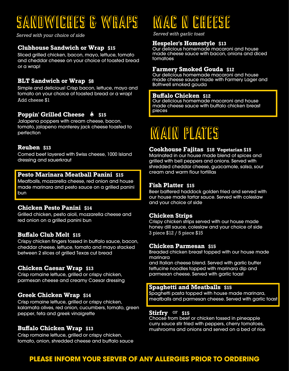## SANDWICHES & WRAPS

*Served with your choice of side*

#### **Clubhouse Sandwich or Wrap \$15**

Sliced grilled chicken, bacon, mayo, lettuce, tomato and cheddar cheese on your choice of toasted bread or a wrap!

#### **BLT Sandwich or Wrap \$8**

Simple and delicious! Crisp bacon, lettuce, mayo and tomato on your choice of toasted bread or a wrap! Add cheese \$1

#### **Poppin' Grilled Cheese**  $\psi$  **\$15**

Jalapeno poppers with cream cheese, bacon, tomato, jalapeno monterey jack cheese toasted to perfection

#### **Reuben \$13**

Corned beef layered with Swiss cheese, 1000 Island dressing and sauerkraut

#### **Pesto Marinara Meatball Panini \$15**

Meatballs, mozzarella cheese, red onion and house made marinara and pesto sauce on a grilled panini bun

#### **Chicken Pesto Panini \$14**

Grilled chicken, pesto aioli, mozzarella cheese and red onion on a grilled panini bun

#### **Buffalo Club Melt \$15**

Crispy chicken fingers tossed in buffalo sauce, bacon, cheddar cheese, lettuce, tomato and mayo stacked between 2 slices of grilled Texas cut bread

#### **Chicken Caesar Wrap \$13**

Crisp romaine lettuce, grilled or crispy chicken, parmesan cheese and creamy Caesar dressing

#### **Greek Chicken Wrap \$14**

Crisp romaine lettuce, grilled or crispy chicken, kalamata olives, red onion, cucumbers, tomato, green pepper, feta and greek vinaigrette

#### **Buffalo Chicken Wrap \$13**

Crisp romaine lettuce, grilled or crispy chicken, tomato, onion, shredded cheese and buffalo sauce

# **MAC N CHEESE**

*Served with garlic toast*

#### **Hespeler's Homestyle \$13**

Our delicious homemade macaroni and house made cheese sauce with bacon, onions and diced tomatoes

#### **Farmery Smoked Gouda \$12**

Our delicious homemade macaroni and house made cheese sauce made with Farmery Lager and Bothwell smoked gouda

#### **Buffalo Chicken \$12**

Our delicious homemade macaroni and house made cheese sauce with buffalo chicken breast pieces

## **MAIN PLATES**

#### **Cookhouse Fajitas \$18 Vegetarian \$15**

Marinated in our house made blend of spices and grilled with bell peppers and onions. Served with shredded cheddar cheese, guacamole, salsa, sour cream and warm flour tortillas

#### **Fish Platter \$15**

Beer battered haddock golden fried and served with our house made tartar sauce. Served with coleslaw and your choice of side

#### **Chicken Strips**

Crispy chicken strips served with our house made honey dill sauce, coleslaw and your choice of side 3 piece \$12 / 5 piece \$15

#### **Chicken Parmesan \$15**

Breaded chicken breast topped with our house made marinara

and Italian cheese blend. Served with garlic butter fettucine noodles topped with marinara dip and parmesan cheese. Served with garlic toast

#### **Spaghetti and Meatballs \$15**

Spaghetti pasta topped with house made marinara, meatballs and parmesan cheese. Served with garlic toast

#### **Stirfry \$15**

Choose from beef or chicken tossed in pineapple curry sauce stir fried with peppers, cherry tomatoes, mushrooms and onions and served on a bed of rice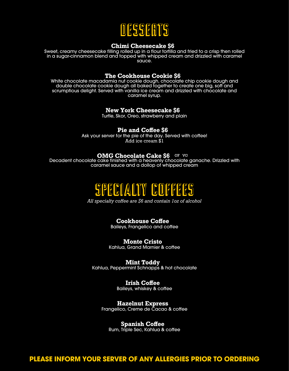

#### **Chimi Cheesecake \$6**

Sweet, creamy cheesecake filling rolled up in a flour tortilla and fried to a crisp then rolled in a sugar-cinnamon blend and topped with whipped cream and drizzled with caramel sauce.

#### **The Cookhouse Cookie \$6**

White chocolate macadamia nut cookie dough, chocolate chip cookie dough and double chocolate cookie dough all baked together to create one big, soft and scrumptious delight. Served with vanilla ice cream and drizzled with chocolate and caramel syrup.

#### **New York Cheesecake \$6**

Turtle, Skor, Oreo, strawberry and plain

#### **Pie and Coffee \$6**

Ask your server for the pie of the day. Served with coffee! Add ice cream \$1

#### **OMG Chocolate Cake \$6**

Decadent chocolate cake finished with a heavenly chocolate ganache. Drizzled with caramel sauce and a dollop of whipped cream



*All specialty coffee are \$6 and contain 1oz of alcohol*

### **Cookhouse Coffee**

Baileys, Frangelico and coffee

**Monte Cristo** Kahlua, Grand Marnier & coffee

**Mint Toddy** Kahlua, Peppermint Schnapps & hot chocolate

> **Irish Coffee** Baileys, whiskey & coffee

**Hazelnut Express** Frangelico, Creme de Cacao & coffee

**Spanish Coffee**

Rum, Triple Sec, Kahlua & coffee